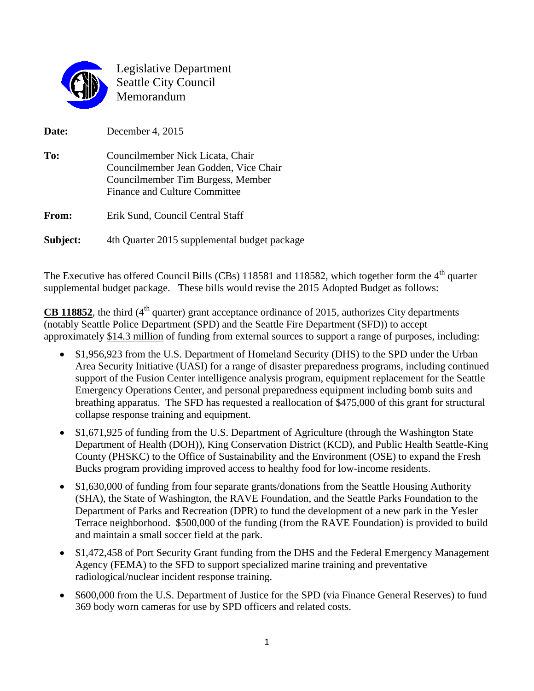

Legislative Department Seattle City Council Memorandum

**Date:** December 4, 2015 **To:** Councilmember Nick Licata, Chair Councilmember Jean Godden, Vice Chair Councilmember Tim Burgess, Member Finance and Culture Committee From: Erik Sund, Council Central Staff **Subject:** 4th Quarter 2015 supplemental budget package

The Executive has offered Council Bills (CBs) 118581 and 118582, which together form the 4<sup>th</sup> quarter supplemental budget package. These bills would revise the 2015 Adopted Budget as follows:

**CB 118852**, the third  $(4<sup>th</sup>$  quarter) grant acceptance ordinance of 2015, authorizes City departments (notably Seattle Police Department (SPD) and the Seattle Fire Department (SFD)) to accept approximately \$14.3 million of funding from external sources to support a range of purposes, including:

- \$1,956,923 from the U.S. Department of Homeland Security (DHS) to the SPD under the Urban Area Security Initiative (UASI) for a range of disaster preparedness programs, including continued support of the Fusion Center intelligence analysis program, equipment replacement for the Seattle Emergency Operations Center, and personal preparedness equipment including bomb suits and breathing apparatus. The SFD has requested a reallocation of \$475,000 of this grant for structural collapse response training and equipment.
- \$1,671,925 of funding from the U.S. Department of Agriculture (through the Washington State Department of Health (DOH)), King Conservation District (KCD), and Public Health Seattle-King County (PHSKC) to the Office of Sustainability and the Environment (OSE) to expand the Fresh Bucks program providing improved access to healthy food for low-income residents.
- \$1,630,000 of funding from four separate grants/donations from the Seattle Housing Authority (SHA), the State of Washington, the RAVE Foundation, and the Seattle Parks Foundation to the Department of Parks and Recreation (DPR) to fund the development of a new park in the Yesler Terrace neighborhood. \$500,000 of the funding (from the RAVE Foundation) is provided to build and maintain a small soccer field at the park.
- \$1,472,458 of Port Security Grant funding from the DHS and the Federal Emergency Management Agency (FEMA) to the SFD to support specialized marine training and preventative radiological/nuclear incident response training.
- \$600,000 from the U.S. Department of Justice for the SPD (via Finance General Reserves) to fund 369 body worn cameras for use by SPD officers and related costs.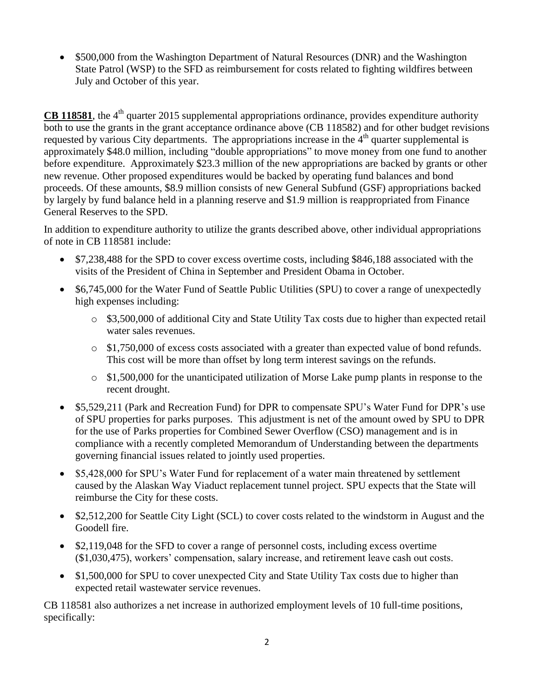• \$500,000 from the Washington Department of Natural Resources (DNR) and the Washington State Patrol (WSP) to the SFD as reimbursement for costs related to fighting wildfires between July and October of this year.

**CB 118581**, the 4<sup>th</sup> quarter 2015 supplemental appropriations ordinance, provides expenditure authority both to use the grants in the grant acceptance ordinance above (CB 118582) and for other budget revisions requested by various City departments. The appropriations increase in the 4<sup>th</sup> quarter supplemental is approximately \$48.0 million, including "double appropriations" to move money from one fund to another before expenditure. Approximately \$23.3 million of the new appropriations are backed by grants or other new revenue. Other proposed expenditures would be backed by operating fund balances and bond proceeds. Of these amounts, \$8.9 million consists of new General Subfund (GSF) appropriations backed by largely by fund balance held in a planning reserve and \$1.9 million is reappropriated from Finance General Reserves to the SPD.

In addition to expenditure authority to utilize the grants described above, other individual appropriations of note in CB 118581 include:

- \$7,238,488 for the SPD to cover excess overtime costs, including \$846,188 associated with the visits of the President of China in September and President Obama in October.
- \$6,745,000 for the Water Fund of Seattle Public Utilities (SPU) to cover a range of unexpectedly high expenses including:
	- o \$3,500,000 of additional City and State Utility Tax costs due to higher than expected retail water sales revenues.
	- $\circ$  \$1,750,000 of excess costs associated with a greater than expected value of bond refunds. This cost will be more than offset by long term interest savings on the refunds.
	- $\circ$  \$1,500,000 for the unanticipated utilization of Morse Lake pump plants in response to the recent drought.
- \$5,529,211 (Park and Recreation Fund) for DPR to compensate SPU's Water Fund for DPR's use of SPU properties for parks purposes. This adjustment is net of the amount owed by SPU to DPR for the use of Parks properties for Combined Sewer Overflow (CSO) management and is in compliance with a recently completed Memorandum of Understanding between the departments governing financial issues related to jointly used properties.
- \$5,428,000 for SPU's Water Fund for replacement of a water main threatened by settlement caused by the Alaskan Way Viaduct replacement tunnel project. SPU expects that the State will reimburse the City for these costs.
- \$2,512,200 for Seattle City Light (SCL) to cover costs related to the windstorm in August and the Goodell fire.
- \$2,119,048 for the SFD to cover a range of personnel costs, including excess overtime (\$1,030,475), workers' compensation, salary increase, and retirement leave cash out costs.
- \$1,500,000 for SPU to cover unexpected City and State Utility Tax costs due to higher than expected retail wastewater service revenues.

CB 118581 also authorizes a net increase in authorized employment levels of 10 full-time positions, specifically: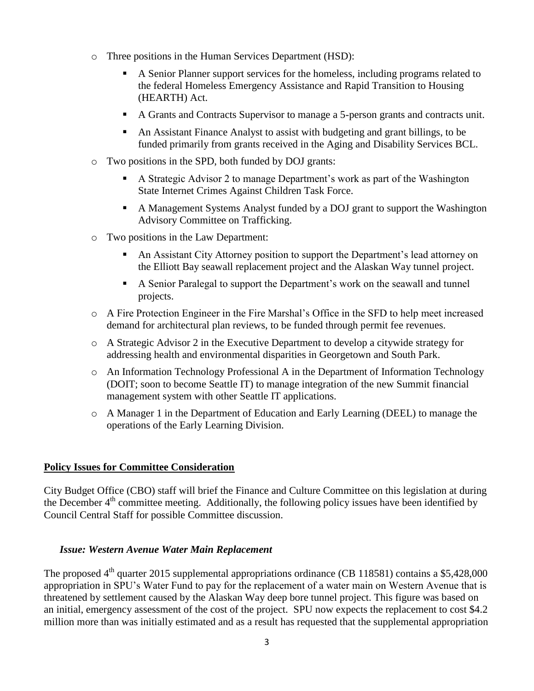- o Three positions in the Human Services Department (HSD):
	- A Senior Planner support services for the homeless, including programs related to the federal Homeless Emergency Assistance and Rapid Transition to Housing (HEARTH) Act.
	- A Grants and Contracts Supervisor to manage a 5-person grants and contracts unit.
	- An Assistant Finance Analyst to assist with budgeting and grant billings, to be funded primarily from grants received in the Aging and Disability Services BCL.
- o Two positions in the SPD, both funded by DOJ grants:
	- A Strategic Advisor 2 to manage Department's work as part of the Washington State Internet Crimes Against Children Task Force.
	- A Management Systems Analyst funded by a DOJ grant to support the Washington Advisory Committee on Trafficking.
- o Two positions in the Law Department:
	- An Assistant City Attorney position to support the Department's lead attorney on the Elliott Bay seawall replacement project and the Alaskan Way tunnel project.
	- A Senior Paralegal to support the Department's work on the seawall and tunnel projects.
- o A Fire Protection Engineer in the Fire Marshal's Office in the SFD to help meet increased demand for architectural plan reviews, to be funded through permit fee revenues.
- o A Strategic Advisor 2 in the Executive Department to develop a citywide strategy for addressing health and environmental disparities in Georgetown and South Park.
- o An Information Technology Professional A in the Department of Information Technology (DOIT; soon to become Seattle IT) to manage integration of the new Summit financial management system with other Seattle IT applications.
- o A Manager 1 in the Department of Education and Early Learning (DEEL) to manage the operations of the Early Learning Division.

#### **Policy Issues for Committee Consideration**

City Budget Office (CBO) staff will brief the Finance and Culture Committee on this legislation at during the December 4<sup>th</sup> committee meeting. Additionally, the following policy issues have been identified by Council Central Staff for possible Committee discussion.

#### *Issue: Western Avenue Water Main Replacement*

The proposed 4<sup>th</sup> quarter 2015 supplemental appropriations ordinance (CB 118581) contains a \$5,428,000 appropriation in SPU's Water Fund to pay for the replacement of a water main on Western Avenue that is threatened by settlement caused by the Alaskan Way deep bore tunnel project. This figure was based on an initial, emergency assessment of the cost of the project. SPU now expects the replacement to cost \$4.2 million more than was initially estimated and as a result has requested that the supplemental appropriation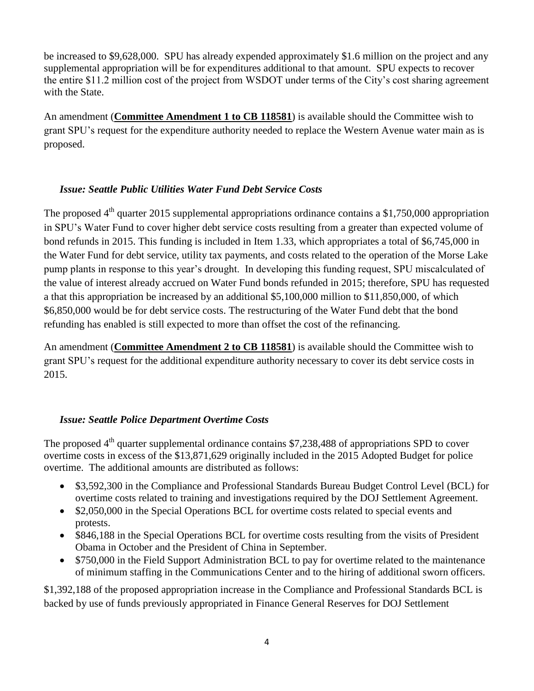be increased to \$9,628,000. SPU has already expended approximately \$1.6 million on the project and any supplemental appropriation will be for expenditures additional to that amount. SPU expects to recover the entire \$11.2 million cost of the project from WSDOT under terms of the City's cost sharing agreement with the State.

An amendment (**Committee Amendment 1 to CB 118581**) is available should the Committee wish to grant SPU's request for the expenditure authority needed to replace the Western Avenue water main as is proposed.

# *Issue: Seattle Public Utilities Water Fund Debt Service Costs*

The proposed  $4<sup>th</sup>$  quarter 2015 supplemental appropriations ordinance contains a \$1,750,000 appropriation in SPU's Water Fund to cover higher debt service costs resulting from a greater than expected volume of bond refunds in 2015. This funding is included in Item 1.33, which appropriates a total of \$6,745,000 in the Water Fund for debt service, utility tax payments, and costs related to the operation of the Morse Lake pump plants in response to this year's drought. In developing this funding request, SPU miscalculated of the value of interest already accrued on Water Fund bonds refunded in 2015; therefore, SPU has requested a that this appropriation be increased by an additional \$5,100,000 million to \$11,850,000, of which \$6,850,000 would be for debt service costs. The restructuring of the Water Fund debt that the bond refunding has enabled is still expected to more than offset the cost of the refinancing.

An amendment (**Committee Amendment 2 to CB 118581**) is available should the Committee wish to grant SPU's request for the additional expenditure authority necessary to cover its debt service costs in 2015.

### *Issue: Seattle Police Department Overtime Costs*

The proposed  $4<sup>th</sup>$  quarter supplemental ordinance contains \$7,238,488 of appropriations SPD to cover overtime costs in excess of the \$13,871,629 originally included in the 2015 Adopted Budget for police overtime. The additional amounts are distributed as follows:

- \$3,592,300 in the Compliance and Professional Standards Bureau Budget Control Level (BCL) for overtime costs related to training and investigations required by the DOJ Settlement Agreement.
- \$2,050,000 in the Special Operations BCL for overtime costs related to special events and protests.
- \$846,188 in the Special Operations BCL for overtime costs resulting from the visits of President Obama in October and the President of China in September.
- \$750,000 in the Field Support Administration BCL to pay for overtime related to the maintenance of minimum staffing in the Communications Center and to the hiring of additional sworn officers.

\$1,392,188 of the proposed appropriation increase in the Compliance and Professional Standards BCL is backed by use of funds previously appropriated in Finance General Reserves for DOJ Settlement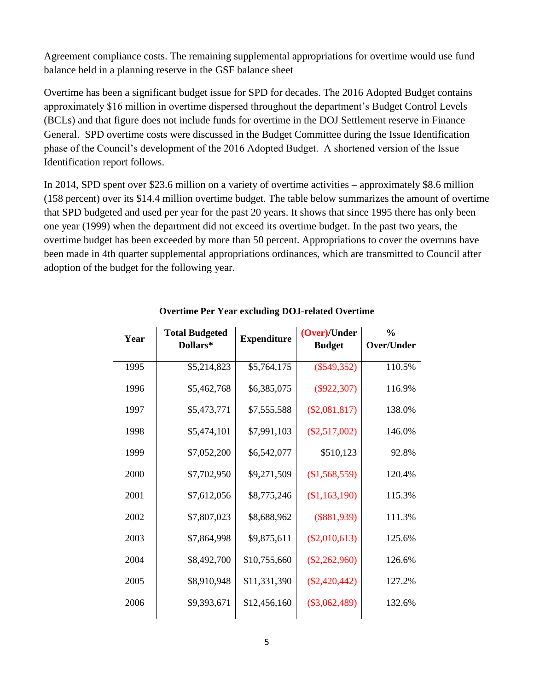Agreement compliance costs. The remaining supplemental appropriations for overtime would use fund balance held in a planning reserve in the GSF balance sheet

Overtime has been a significant budget issue for SPD for decades. The 2016 Adopted Budget contains approximately \$16 million in overtime dispersed throughout the department's Budget Control Levels (BCLs) and that figure does not include funds for overtime in the DOJ Settlement reserve in Finance General. SPD overtime costs were discussed in the Budget Committee during the Issue Identification phase of the Council's development of the 2016 Adopted Budget. A shortened version of the Issue Identification report follows.

In 2014, SPD spent over \$23.6 million on a variety of overtime activities – approximately \$8.6 million (158 percent) over its \$14.4 million overtime budget. The table below summarizes the amount of overtime that SPD budgeted and used per year for the past 20 years. It shows that since 1995 there has only been one year (1999) when the department did not exceed its overtime budget. In the past two years, the overtime budget has been exceeded by more than 50 percent. Appropriations to cover the overruns have been made in 4th quarter supplemental appropriations ordinances, which are transmitted to Council after adoption of the budget for the following year.

| Year | <b>Total Budgeted</b><br>Dollars* | <b>Expenditure</b> | (Over)/Under<br><b>Budget</b> | $\frac{6}{9}$<br><b>Over/Under</b> |
|------|-----------------------------------|--------------------|-------------------------------|------------------------------------|
| 1995 | \$5,214,823                       | \$5,764,175        | $(\$549,352)$                 | 110.5%                             |
| 1996 | \$5,462,768                       | \$6,385,075        | $(\$922,307)$                 | 116.9%                             |
| 1997 | \$5,473,771                       | \$7,555,588        | $(\$2,081,817)$               | 138.0%                             |
| 1998 | \$5,474,101                       | \$7,991,103        | $(\$2,517,002)$               | 146.0%                             |
| 1999 | \$7,052,200                       | \$6,542,077        | \$510,123                     | 92.8%                              |
| 2000 | \$7,702,950                       | \$9,271,509        | (\$1,568,559)                 | 120.4%                             |
| 2001 | \$7,612,056                       | \$8,775,246        | (\$1,163,190)                 | 115.3%                             |
| 2002 | \$7,807,023                       | \$8,688,962        | $(\$881,939)$                 | 111.3%                             |
| 2003 | \$7,864,998                       | \$9,875,611        | $(\$2,010,613)$               | 125.6%                             |
| 2004 | \$8,492,700                       | \$10,755,660       | $(\$2,262,960)$               | 126.6%                             |
| 2005 | \$8,910,948                       | \$11,331,390       | $(\$2,420,442)$               | 127.2%                             |
| 2006 | \$9,393,671                       | \$12,456,160       | $(\$3,062,489)$               | 132.6%                             |
|      |                                   |                    |                               |                                    |

## **Overtime Per Year excluding DOJ-related Overtime**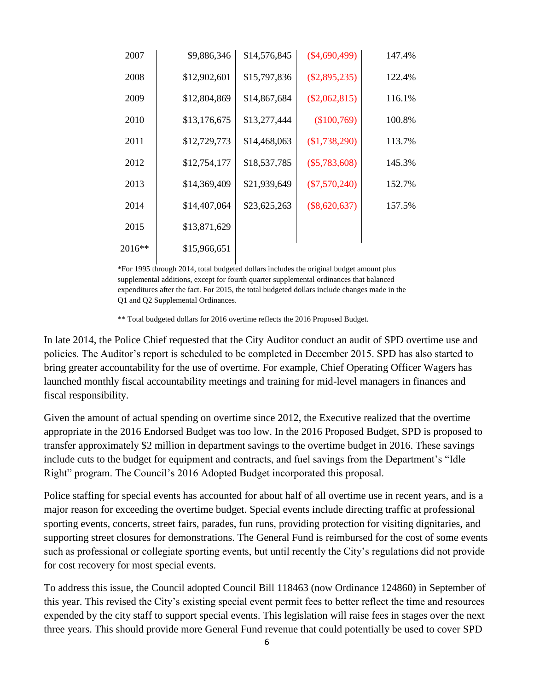| 2007   | \$9,886,346  | \$14,576,845 | $(\$4,690,499)$ | 147.4% |
|--------|--------------|--------------|-----------------|--------|
| 2008   | \$12,902,601 | \$15,797,836 | $(\$2,895,235)$ | 122.4% |
| 2009   | \$12,804,869 | \$14,867,684 | $(\$2,062,815)$ | 116.1% |
| 2010   | \$13,176,675 | \$13,277,444 | (\$100,769)     | 100.8% |
| 2011   | \$12,729,773 | \$14,468,063 | $(\$1,738,290)$ | 113.7% |
| 2012   | \$12,754,177 | \$18,537,785 | $(\$5,783,608)$ | 145.3% |
| 2013   | \$14,369,409 | \$21,939,649 | $(\$7,570,240)$ | 152.7% |
| 2014   | \$14,407,064 | \$23,625,263 | $(\$8,620,637)$ | 157.5% |
| 2015   | \$13,871,629 |              |                 |        |
| 2016** | \$15,966,651 |              |                 |        |

\*For 1995 through 2014, total budgeted dollars includes the original budget amount plus supplemental additions, except for fourth quarter supplemental ordinances that balanced expenditures after the fact. For 2015, the total budgeted dollars include changes made in the Q1 and Q2 Supplemental Ordinances.

\*\* Total budgeted dollars for 2016 overtime reflects the 2016 Proposed Budget.

In late 2014, the Police Chief requested that the City Auditor conduct an audit of SPD overtime use and policies. The Auditor's report is scheduled to be completed in December 2015. SPD has also started to bring greater accountability for the use of overtime. For example, Chief Operating Officer Wagers has launched monthly fiscal accountability meetings and training for mid-level managers in finances and fiscal responsibility.

Given the amount of actual spending on overtime since 2012, the Executive realized that the overtime appropriate in the 2016 Endorsed Budget was too low. In the 2016 Proposed Budget, SPD is proposed to transfer approximately \$2 million in department savings to the overtime budget in 2016. These savings include cuts to the budget for equipment and contracts, and fuel savings from the Department's "Idle Right" program. The Council's 2016 Adopted Budget incorporated this proposal.

Police staffing for special events has accounted for about half of all overtime use in recent years, and is a major reason for exceeding the overtime budget. Special events include directing traffic at professional sporting events, concerts, street fairs, parades, fun runs, providing protection for visiting dignitaries, and supporting street closures for demonstrations. The General Fund is reimbursed for the cost of some events such as professional or collegiate sporting events, but until recently the City's regulations did not provide for cost recovery for most special events.

To address this issue, the Council adopted Council Bill 118463 (now Ordinance 124860) in September of this year. This revised the City's existing special event permit fees to better reflect the time and resources expended by the city staff to support special events. This legislation will raise fees in stages over the next three years. This should provide more General Fund revenue that could potentially be used to cover SPD